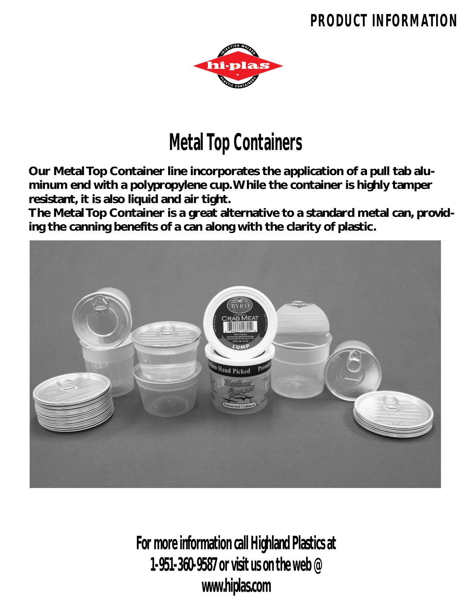## **PRODUCT INFORMATION**



## **Metal Top Containers**

**Our Metal Top Container line incorporates the application of a pull tab aluminum end with a polypropylene cup.While the container is highly tamper resistant, it is also liquid and air tight.**

**The Metal Top Container is a great alternative to a standard metal can, providing the canning benefits of a can along with the clarity of plastic.**



**For more information call Highland Plastics at 1-951-360-9587 or visit us on the web @ www.hiplas.com**